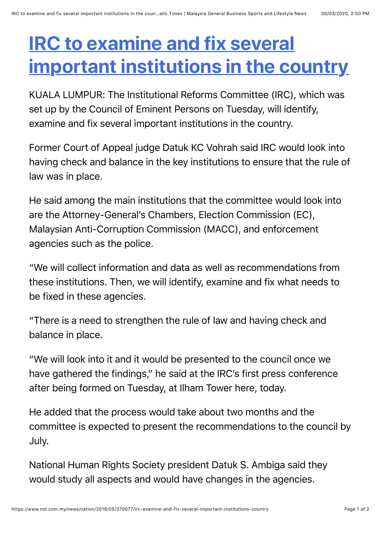## **IRC to examine and fix several [important institutions in the country](https://web.whatsapp.com/send?text=IRC%20to%20examine%20and%20fix%20several%20important%20institutions%20in%20the%20country%20https://www.nst.com.my/news/nation/2018/05/370077/irc-examine-and-fix-several-important-institutions-country)**

KUALA LUMPUR: The Institutional Reforms Committee (IRC), which was set up by the Council of Eminent Persons on Tuesday, will identify, examine and fix several important institutions in the country.

Former Court of Appeal judge Datuk KC Vohrah said IRC would look into having check and balance in the key institutions to ensure that the rule of law was in place.

He said among the main institutions that the committee would look into are the Attorney-General's Chambers, Election Commission (EC), Malaysian Anti-Corruption Commission (MACC), and enforcement agencies such as the police.

"We will collect information and data as well as recommendations from these institutions. Then, we will identify, examine and fix what needs to be fixed in these agencies.

"There is a need to strengthen the rule of law and having check and balance in place.

"We will look into it and it would be presented to the council once we have gathered the findings," he said at the IRC's first press conference after being formed on Tuesday, at Ilham Tower here, today.

He added that the process would take about two months and the committee is expected to present the recommendations to the council by July.

National Human Rights Society president Datuk S. Ambiga said they would study all aspects and would have changes in the agencies.